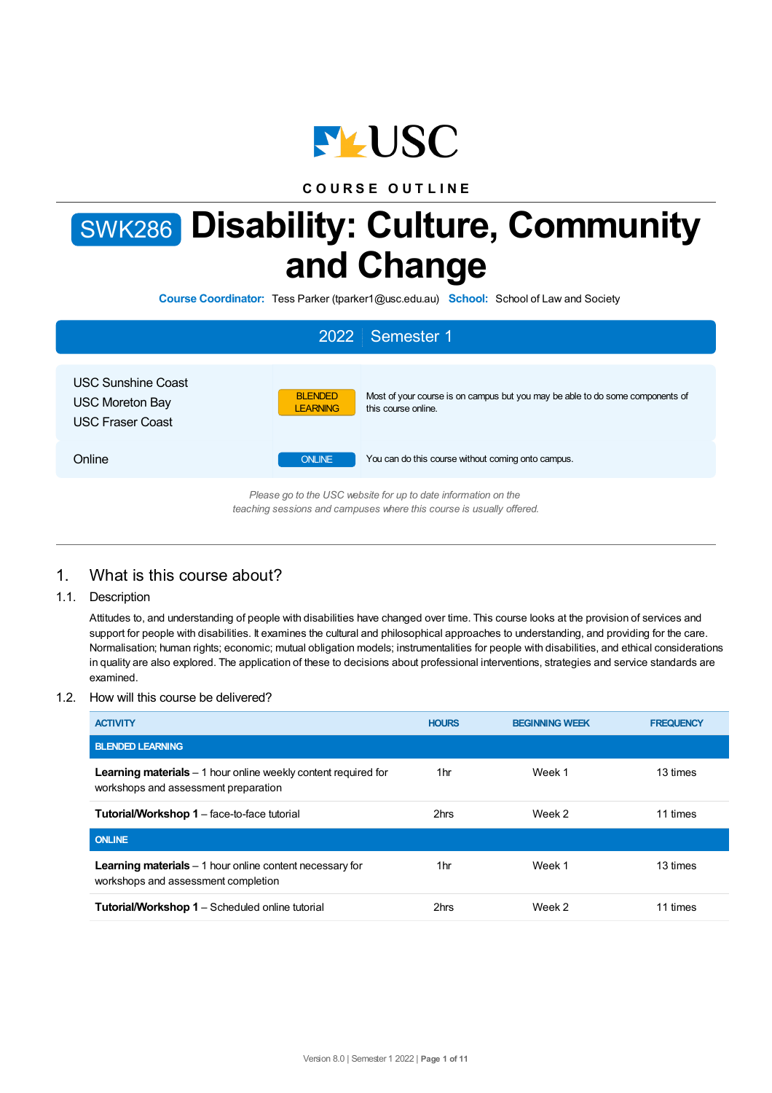

**C O U R S E O U T L I N E**

# SWK286 **Disability: Culture, Community and Change**

**Course Coordinator:** Tess Parker (tparker1@usc.edu.au) **School:** School of Law and Society

|                                                                                | 2022 Semester 1                                                                                                                           |
|--------------------------------------------------------------------------------|-------------------------------------------------------------------------------------------------------------------------------------------|
| <b>USC Sunshine Coast</b><br><b>USC Moreton Bay</b><br><b>USC Fraser Coast</b> | Most of your course is on campus but you may be able to do some components of<br><b>BLENDED</b><br><b>LEARNING</b><br>this course online. |
| Online                                                                         | You can do this course without coming onto campus.<br><b>ONLINE</b>                                                                       |
|                                                                                | Please go to the USC website for up to date information on the<br>teaching sessions and campuses where this course is usually offered.    |

## 1. What is this course about?

1.1. Description

Attitudes to, and understanding of people with disabilities have changed over time. This course looks at the provision of services and support for people with disabilities. It examines the cultural and philosophical approaches to understanding, and providing for the care. Normalisation; human rights; economic; mutual obligation models; instrumentalities for people with disabilities, and ethical considerations in quality are also explored. The application of these to decisions about professional interventions, strategies and service standards are examined.

#### 1.2. How will this course be delivered?

| <b>ACTIVITY</b>                                                                                                | <b>HOURS</b> | <b>BEGINNING WEEK</b> | <b>FREQUENCY</b> |
|----------------------------------------------------------------------------------------------------------------|--------------|-----------------------|------------------|
| <b>BLENDED LEARNING</b>                                                                                        |              |                       |                  |
| <b>Learning materials</b> $-1$ hour online weekly content required for<br>workshops and assessment preparation | 1hr          | Week 1                | 13 times         |
| <b>Tutorial/Workshop 1</b> – face-to-face tutorial                                                             | 2hrs         | Week 2                | 11 times         |
| <b>ONLINE</b>                                                                                                  |              |                       |                  |
| <b>Learning materials</b> $-1$ hour online content necessary for<br>workshops and assessment completion        | 1hr          | Week 1                | 13 times         |
| <b>Tutorial/Workshop 1 - Scheduled online tutorial</b>                                                         | 2hrs         | Week 2                | 11 times         |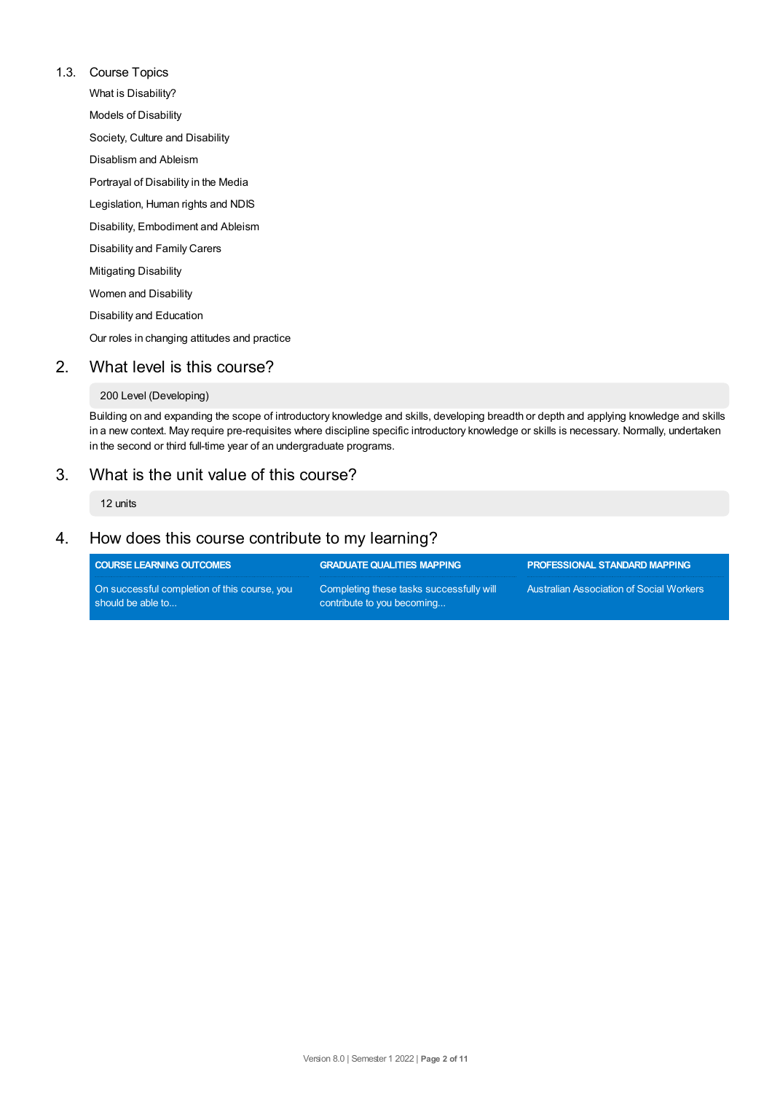#### 1.3. Course Topics

What is Disability? Models of Disability Society, Culture and Disability Disablism and Ableism Portrayal of Disability in the Media Legislation, Human rights and NDIS Disability, Embodiment and Ableism Disability and Family Carers Mitigating Disability Women and Disability Disability and Education Our roles in changing attitudes and practice

## 2. What level is this course?

#### 200 Level (Developing)

Building on and expanding the scope of introductory knowledge and skills, developing breadth or depth and applying knowledge and skills in a new context. May require pre-requisites where discipline specific introductory knowledge or skills is necessary. Normally, undertaken in the second or third full-time year of an undergraduate programs.

## 3. What is the unit value of this course?

12 units

## 4. How does this course contribute to my learning?

| <b>COURSE LEARNING OUTCOMES</b>                                   | <b>GRADUATE QUALITIES MAPPING</b>                                      | <b>PROFESSIONAL STANDARD MAPPING</b>            |
|-------------------------------------------------------------------|------------------------------------------------------------------------|-------------------------------------------------|
| On successful completion of this course, you<br>should be able to | Completing these tasks successfully will<br>contribute to you becoming | <b>Australian Association of Social Workers</b> |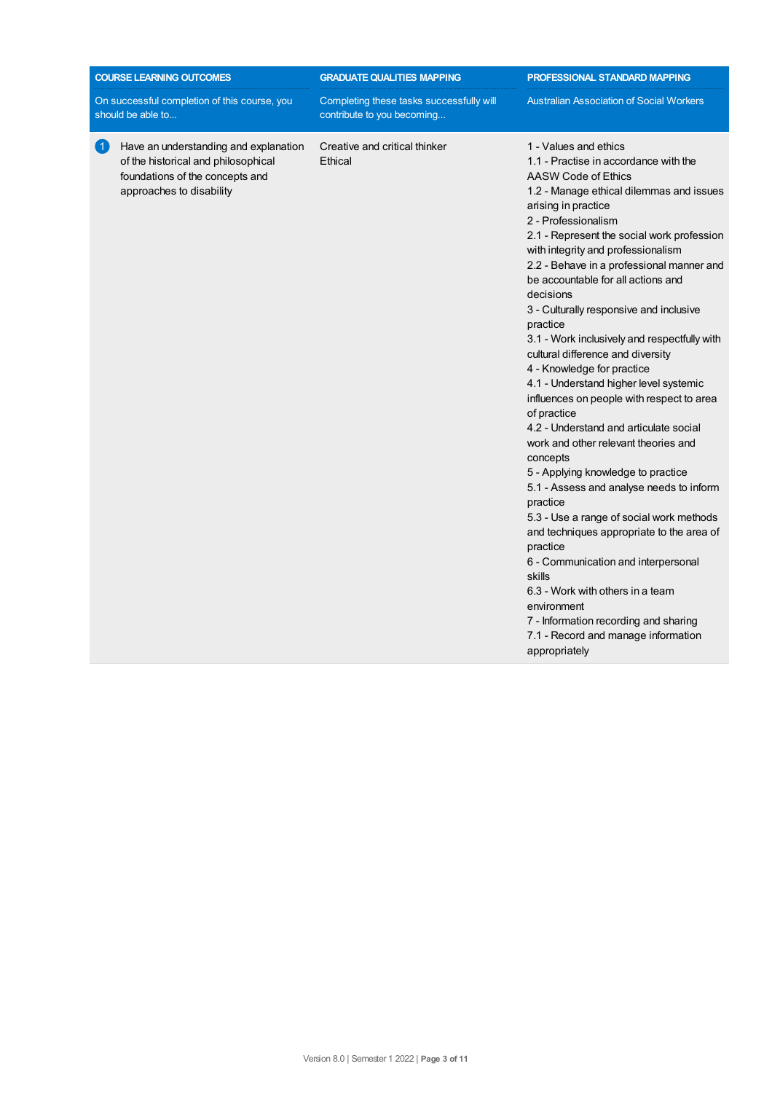| <b>COURSE LEARNING OUTCOMES</b>                                                                                                                                         | <b>GRADUATE QUALITIES MAPPING</b>                                      | <b>PROFESSIONAL STANDARD MAPPING</b>                                                                                                                                                                                                                                                                                                                                                                                                                                                                                                                                                                                                                                                                                                                                                                                                                                                                                                                                                                                                                                                                                                                      |  |
|-------------------------------------------------------------------------------------------------------------------------------------------------------------------------|------------------------------------------------------------------------|-----------------------------------------------------------------------------------------------------------------------------------------------------------------------------------------------------------------------------------------------------------------------------------------------------------------------------------------------------------------------------------------------------------------------------------------------------------------------------------------------------------------------------------------------------------------------------------------------------------------------------------------------------------------------------------------------------------------------------------------------------------------------------------------------------------------------------------------------------------------------------------------------------------------------------------------------------------------------------------------------------------------------------------------------------------------------------------------------------------------------------------------------------------|--|
| On successful completion of this course, you<br>should be able to                                                                                                       | Completing these tasks successfully will<br>contribute to you becoming | <b>Australian Association of Social Workers</b>                                                                                                                                                                                                                                                                                                                                                                                                                                                                                                                                                                                                                                                                                                                                                                                                                                                                                                                                                                                                                                                                                                           |  |
| Have an understanding and explanation<br>$\left  1 \right\rangle$<br>of the historical and philosophical<br>foundations of the concepts and<br>approaches to disability | Creative and critical thinker<br>Ethical                               | 1 - Values and ethics<br>1.1 - Practise in accordance with the<br>AASW Code of Ethics<br>1.2 - Manage ethical dilemmas and issues<br>arising in practice<br>2 - Professionalism<br>2.1 - Represent the social work profession<br>with integrity and professionalism<br>2.2 - Behave in a professional manner and<br>be accountable for all actions and<br>decisions<br>3 - Culturally responsive and inclusive<br>practice<br>3.1 - Work inclusively and respectfully with<br>cultural difference and diversity<br>4 - Knowledge for practice<br>4.1 - Understand higher level systemic<br>influences on people with respect to area<br>of practice<br>4.2 - Understand and articulate social<br>work and other relevant theories and<br>concepts<br>5 - Applying knowledge to practice<br>5.1 - Assess and analyse needs to inform<br>practice<br>5.3 - Use a range of social work methods<br>and techniques appropriate to the area of<br>practice<br>6 - Communication and interpersonal<br>skills<br>6.3 - Work with others in a team<br>environment<br>7 - Information recording and sharing<br>7.1 - Record and manage information<br>appropriately |  |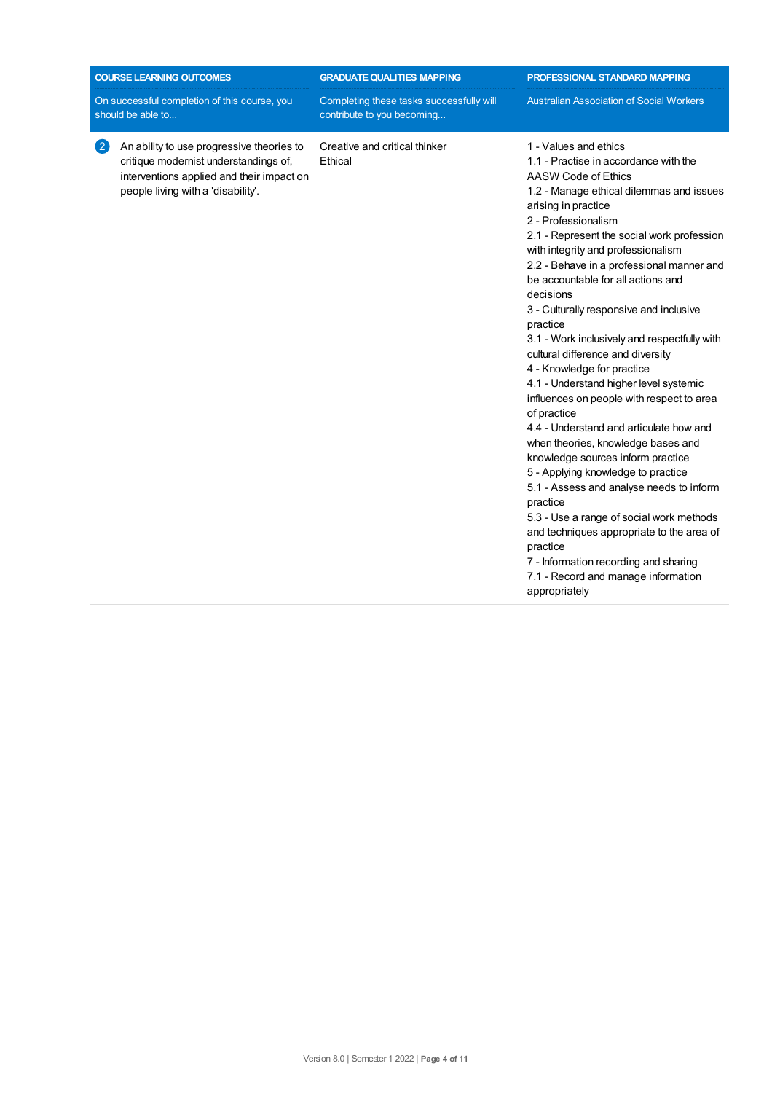| <b>COURSE LEARNING OUTCOMES</b>                                                                                                                                              | <b>GRADUATE QUALITIES MAPPING</b>                                      | <b>PROFESSIONAL STANDARD MAPPING</b>                                                                                                                                                                                                                                                                                                                                                                                                                                                                                                                                                                                                                                                                                                                                                                                                                                                                                                                                                                                                                                          |  |
|------------------------------------------------------------------------------------------------------------------------------------------------------------------------------|------------------------------------------------------------------------|-------------------------------------------------------------------------------------------------------------------------------------------------------------------------------------------------------------------------------------------------------------------------------------------------------------------------------------------------------------------------------------------------------------------------------------------------------------------------------------------------------------------------------------------------------------------------------------------------------------------------------------------------------------------------------------------------------------------------------------------------------------------------------------------------------------------------------------------------------------------------------------------------------------------------------------------------------------------------------------------------------------------------------------------------------------------------------|--|
| On successful completion of this course, you<br>should be able to                                                                                                            | Completing these tasks successfully will<br>contribute to you becoming | <b>Australian Association of Social Workers</b>                                                                                                                                                                                                                                                                                                                                                                                                                                                                                                                                                                                                                                                                                                                                                                                                                                                                                                                                                                                                                               |  |
| An ability to use progressive theories to<br>(2)<br>critique modernist understandings of,<br>interventions applied and their impact on<br>people living with a 'disability'. | Creative and critical thinker<br>Ethical                               | 1 - Values and ethics<br>1.1 - Practise in accordance with the<br>AASW Code of Ethics<br>1.2 - Manage ethical dilemmas and issues<br>arising in practice<br>2 - Professionalism<br>2.1 - Represent the social work profession<br>with integrity and professionalism<br>2.2 - Behave in a professional manner and<br>be accountable for all actions and<br>decisions<br>3 - Culturally responsive and inclusive<br>practice<br>3.1 - Work inclusively and respectfully with<br>cultural difference and diversity<br>4 - Knowledge for practice<br>4.1 - Understand higher level systemic<br>influences on people with respect to area<br>of practice<br>4.4 - Understand and articulate how and<br>when theories, knowledge bases and<br>knowledge sources inform practice<br>5 - Applying knowledge to practice<br>5.1 - Assess and analyse needs to inform<br>practice<br>5.3 - Use a range of social work methods<br>and techniques appropriate to the area of<br>practice<br>7 - Information recording and sharing<br>7.1 - Record and manage information<br>appropriately |  |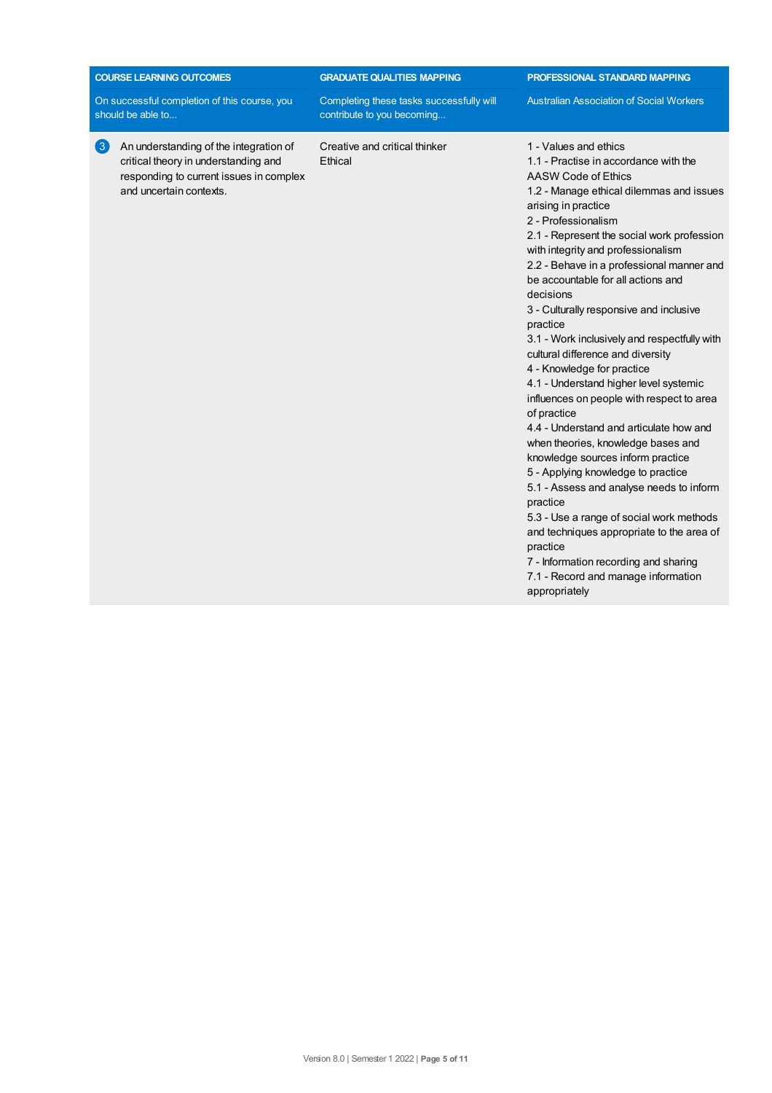| <b>COURSE LEARNING OUTCOMES</b>                                                                                                                                           | <b>GRADUATE QUALITIES MAPPING</b>                                      | <b>PROFESSIONAL STANDARD MAPPING</b>                                                                                                                                                                                                                                                                                                                                                                                                                                                                                                                                                                                                                                                                                                                                                                                                                                                                                                                                                                                                                                          |
|---------------------------------------------------------------------------------------------------------------------------------------------------------------------------|------------------------------------------------------------------------|-------------------------------------------------------------------------------------------------------------------------------------------------------------------------------------------------------------------------------------------------------------------------------------------------------------------------------------------------------------------------------------------------------------------------------------------------------------------------------------------------------------------------------------------------------------------------------------------------------------------------------------------------------------------------------------------------------------------------------------------------------------------------------------------------------------------------------------------------------------------------------------------------------------------------------------------------------------------------------------------------------------------------------------------------------------------------------|
| On successful completion of this course, you<br>should be able to                                                                                                         | Completing these tasks successfully will<br>contribute to you becoming | <b>Australian Association of Social Workers</b>                                                                                                                                                                                                                                                                                                                                                                                                                                                                                                                                                                                                                                                                                                                                                                                                                                                                                                                                                                                                                               |
| $\left( 3\right)$<br>An understanding of the integration of<br>critical theory in understanding and<br>responding to current issues in complex<br>and uncertain contexts. | Creative and critical thinker<br>Ethical                               | 1 - Values and ethics<br>1.1 - Practise in accordance with the<br>AASW Code of Ethics<br>1.2 - Manage ethical dilemmas and issues<br>arising in practice<br>2 - Professionalism<br>2.1 - Represent the social work profession<br>with integrity and professionalism<br>2.2 - Behave in a professional manner and<br>be accountable for all actions and<br>decisions<br>3 - Culturally responsive and inclusive<br>practice<br>3.1 - Work inclusively and respectfully with<br>cultural difference and diversity<br>4 - Knowledge for practice<br>4.1 - Understand higher level systemic<br>influences on people with respect to area<br>of practice<br>4.4 - Understand and articulate how and<br>when theories, knowledge bases and<br>knowledge sources inform practice<br>5 - Applying knowledge to practice<br>5.1 - Assess and analyse needs to inform<br>practice<br>5.3 - Use a range of social work methods<br>and techniques appropriate to the area of<br>practice<br>7 - Information recording and sharing<br>7.1 - Record and manage information<br>appropriately |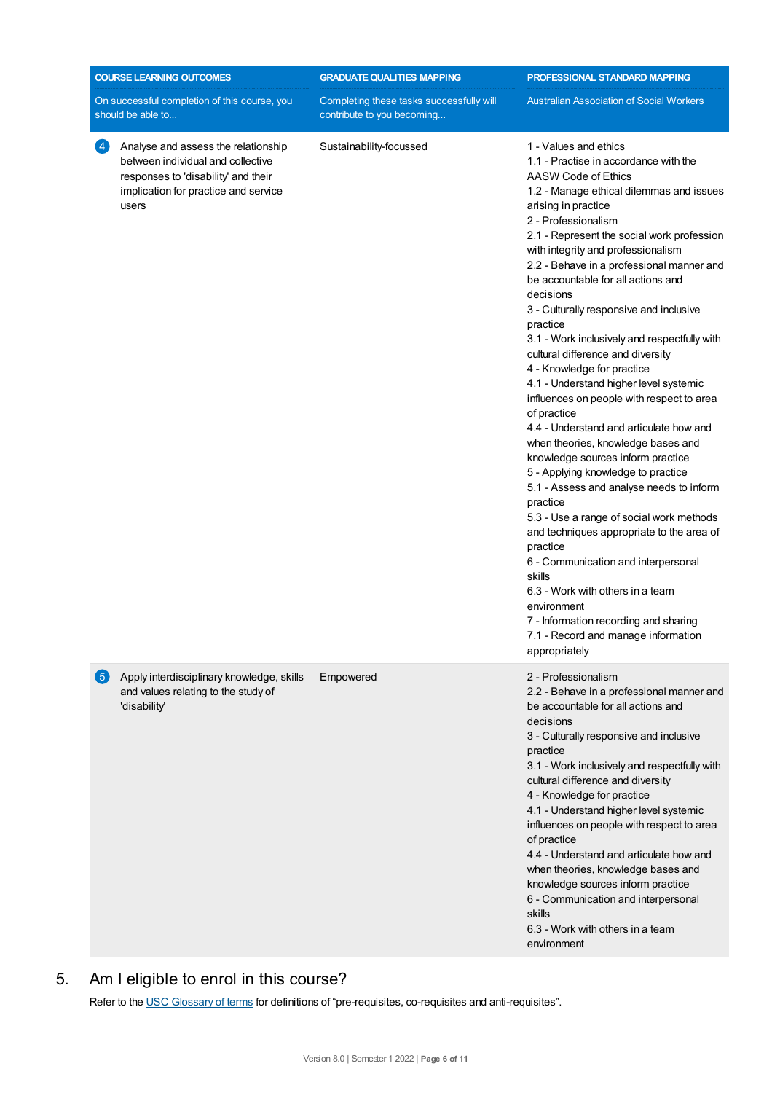|                   | <b>COURSE LEARNING OUTCOMES</b>                                                                                                                                  | <b>GRADUATE QUALITIES MAPPING</b>                                      | PROFESSIONAL STANDARD MAPPING                                                                                                                                                                                                                                                                                                                                                                                                                                                                                                                                                                                                                                                                                                                                                                                                                                                                                                                                                                                                                                                                                                                                                     |
|-------------------|------------------------------------------------------------------------------------------------------------------------------------------------------------------|------------------------------------------------------------------------|-----------------------------------------------------------------------------------------------------------------------------------------------------------------------------------------------------------------------------------------------------------------------------------------------------------------------------------------------------------------------------------------------------------------------------------------------------------------------------------------------------------------------------------------------------------------------------------------------------------------------------------------------------------------------------------------------------------------------------------------------------------------------------------------------------------------------------------------------------------------------------------------------------------------------------------------------------------------------------------------------------------------------------------------------------------------------------------------------------------------------------------------------------------------------------------|
|                   | On successful completion of this course, you<br>should be able to                                                                                                | Completing these tasks successfully will<br>contribute to you becoming | <b>Australian Association of Social Workers</b>                                                                                                                                                                                                                                                                                                                                                                                                                                                                                                                                                                                                                                                                                                                                                                                                                                                                                                                                                                                                                                                                                                                                   |
| $\left( 4\right)$ | Analyse and assess the relationship<br>between individual and collective<br>responses to 'disability' and their<br>implication for practice and service<br>users | Sustainability-focussed                                                | 1 - Values and ethics<br>1.1 - Practise in accordance with the<br>AASW Code of Ethics<br>1.2 - Manage ethical dilemmas and issues<br>arising in practice<br>2 - Professionalism<br>2.1 - Represent the social work profession<br>with integrity and professionalism<br>2.2 - Behave in a professional manner and<br>be accountable for all actions and<br>decisions<br>3 - Culturally responsive and inclusive<br>practice<br>3.1 - Work inclusively and respectfully with<br>cultural difference and diversity<br>4 - Knowledge for practice<br>4.1 - Understand higher level systemic<br>influences on people with respect to area<br>of practice<br>4.4 - Understand and articulate how and<br>when theories, knowledge bases and<br>knowledge sources inform practice<br>5 - Applying knowledge to practice<br>5.1 - Assess and analyse needs to inform<br>practice<br>5.3 - Use a range of social work methods<br>and techniques appropriate to the area of<br>practice<br>6 - Communication and interpersonal<br>skills<br>6.3 - Work with others in a team<br>environment<br>7 - Information recording and sharing<br>7.1 - Record and manage information<br>appropriately |
| $5 \frac{1}{2}$   | Apply interdisciplinary knowledge, skills<br>and values relating to the study of<br>'disability'                                                                 | Empowered                                                              | 2 - Professionalism<br>2.2 - Behave in a professional manner and<br>be accountable for all actions and<br>decisions<br>3 - Culturally responsive and inclusive<br>practice<br>3.1 - Work inclusively and respectfully with<br>cultural difference and diversity<br>4 - Knowledge for practice<br>4.1 - Understand higher level systemic<br>influences on people with respect to area<br>of practice<br>4.4 - Understand and articulate how and<br>when theories, knowledge bases and<br>knowledge sources inform practice<br>6 - Communication and interpersonal<br>skills<br>6.3 - Work with others in a team<br>environment                                                                                                                                                                                                                                                                                                                                                                                                                                                                                                                                                     |

## 5. Am Ieligible to enrol in this course?

Refer to the USC [Glossary](https://www.usc.edu.au/about/policies-and-procedures/glossary-of-terms-for-policy-and-procedures) of terms for definitions of "pre-requisites, co-requisites and anti-requisites".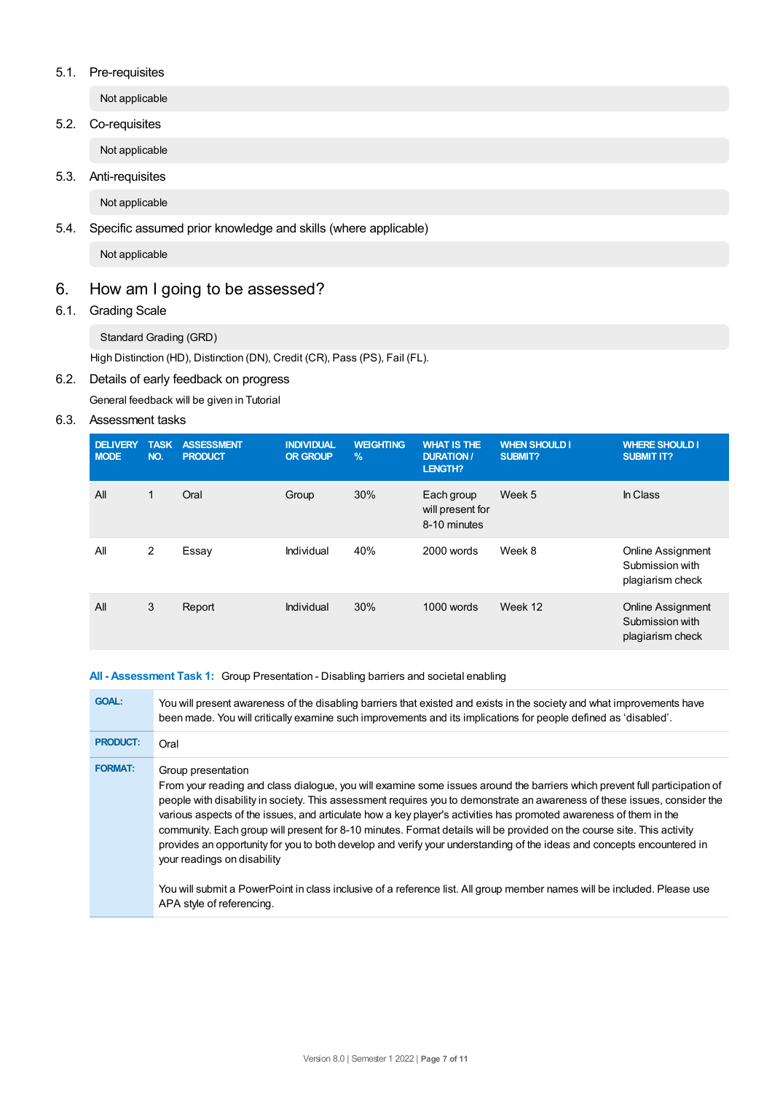#### 5.1. Pre-requisites

Not applicable

5.2. Co-requisites

Not applicable

5.3. Anti-requisites

Not applicable

### 5.4. Specific assumed prior knowledge and skills (where applicable)

Not applicable

## 6. How am Igoing to be assessed?

## 6.1. Grading Scale

Standard Grading (GRD)

High Distinction (HD), Distinction (DN), Credit (CR), Pass (PS), Fail (FL).

#### 6.2. Details of early feedback on progress

General feedback will be given in Tutorial

#### 6.3. Assessment tasks

| <b>DELIVERY</b><br><b>MODE</b> | <b>TASK</b><br>NO. | <b>ASSESSMENT</b><br><b>PRODUCT</b> | <b>INDIVIDUAL</b><br><b>OR GROUP</b> | <b>WEIGHTING</b><br>$\%$ | <b>WHAT IS THE</b><br><b>DURATION/</b><br><b>LENGTH?</b> | <b>WHEN SHOULD I</b><br>SUBMIT? | <b>WHERE SHOULD I</b><br><b>SUBMIT IT?</b>                      |
|--------------------------------|--------------------|-------------------------------------|--------------------------------------|--------------------------|----------------------------------------------------------|---------------------------------|-----------------------------------------------------------------|
| All                            | 1                  | Oral                                | Group                                | 30%                      | Each group<br>will present for<br>8-10 minutes           | Week 5                          | In Class                                                        |
| All                            | 2                  | Essay                               | Individual                           | 40%                      | 2000 words                                               | Week 8                          | <b>Online Assignment</b><br>Submission with<br>plagiarism check |
| All                            | 3                  | Report                              | Individual                           | 30%                      | 1000 words                                               | Week 12                         | <b>Online Assignment</b><br>Submission with<br>plagiarism check |

#### **All - Assessment Task 1:** Group Presentation - Disabling barriers and societal enabling

| <b>GOAL:</b>    | You will present awareness of the disabling barriers that existed and exists in the society and what improvements have<br>been made. You will critically examine such improvements and its implications for people defined as 'disabled'.                                                                                                                                                                                                                                                                                                                                                                                                                                                                                                                                                                                                      |
|-----------------|------------------------------------------------------------------------------------------------------------------------------------------------------------------------------------------------------------------------------------------------------------------------------------------------------------------------------------------------------------------------------------------------------------------------------------------------------------------------------------------------------------------------------------------------------------------------------------------------------------------------------------------------------------------------------------------------------------------------------------------------------------------------------------------------------------------------------------------------|
| <b>PRODUCT:</b> | Oral                                                                                                                                                                                                                                                                                                                                                                                                                                                                                                                                                                                                                                                                                                                                                                                                                                           |
| <b>FORMAT:</b>  | Group presentation<br>From your reading and class dialogue, you will examine some issues around the barriers which prevent full participation of<br>people with disability in society. This assessment requires you to demonstrate an awareness of these issues, consider the<br>various aspects of the issues, and articulate how a key player's activities has promoted awareness of them in the<br>community. Each group will present for 8-10 minutes. Format details will be provided on the course site. This activity<br>provides an opportunity for you to both develop and verify your understanding of the ideas and concepts encountered in<br>your readings on disability<br>You will submit a PowerPoint in class inclusive of a reference list. All group member names will be included. Please use<br>APA style of referencing. |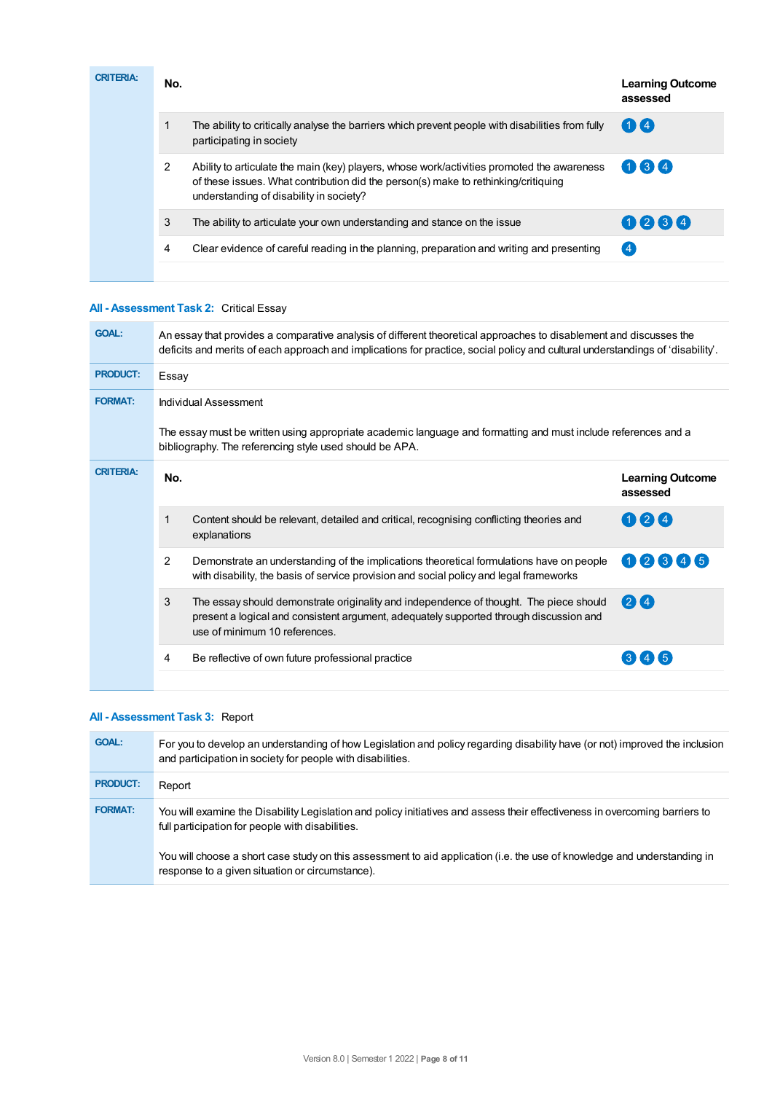| <b>CRITERIA:</b> | No. |                                                                                                                                                                                                                             | <b>Learning Outcome</b><br>assessed |
|------------------|-----|-----------------------------------------------------------------------------------------------------------------------------------------------------------------------------------------------------------------------------|-------------------------------------|
|                  |     | The ability to critically analyse the barriers which prevent people with disabilities from fully<br>participating in society                                                                                                | $\bigoplus$                         |
|                  | 2   | Ability to articulate the main (key) players, whose work/activities promoted the awareness<br>of these issues. What contribution did the person(s) make to rethinking/critiquing<br>understanding of disability in society? | 034                                 |
|                  | 3   | The ability to articulate your own understanding and stance on the issue                                                                                                                                                    | 0234                                |
|                  | 4   | Clear evidence of careful reading in the planning, preparation and writing and presenting                                                                                                                                   | $\overline{4}$                      |
|                  |     |                                                                                                                                                                                                                             |                                     |

## **All - Assessment Task 2:** Critical Essay

| <b>GOAL:</b>     | An essay that provides a comparative analysis of different theoretical approaches to disablement and discusses the<br>deficits and merits of each approach and implications for practice, social policy and cultural understandings of 'disability'. |                                                                                                                                                                                                                   |                                     |  |
|------------------|------------------------------------------------------------------------------------------------------------------------------------------------------------------------------------------------------------------------------------------------------|-------------------------------------------------------------------------------------------------------------------------------------------------------------------------------------------------------------------|-------------------------------------|--|
| <b>PRODUCT:</b>  |                                                                                                                                                                                                                                                      | Essay                                                                                                                                                                                                             |                                     |  |
| <b>FORMAT:</b>   | Individual Assessment                                                                                                                                                                                                                                |                                                                                                                                                                                                                   |                                     |  |
|                  |                                                                                                                                                                                                                                                      | The essay must be written using appropriate academic language and formatting and must include references and a<br>bibliography. The referencing style used should be APA.                                         |                                     |  |
| <b>CRITERIA:</b> | No.                                                                                                                                                                                                                                                  |                                                                                                                                                                                                                   | <b>Learning Outcome</b><br>assessed |  |
|                  |                                                                                                                                                                                                                                                      | Content should be relevant, detailed and critical, recognising conflicting theories and<br>explanations                                                                                                           | 024                                 |  |
|                  | 2                                                                                                                                                                                                                                                    | Demonstrate an understanding of the implications theoretical formulations have on people<br>with disability, the basis of service provision and social policy and legal frameworks                                | 02345                               |  |
|                  | 3                                                                                                                                                                                                                                                    | The essay should demonstrate originality and independence of thought. The piece should<br>present a logical and consistent argument, adequately supported through discussion and<br>use of minimum 10 references. | 24                                  |  |
|                  | 4                                                                                                                                                                                                                                                    | Be reflective of own future professional practice                                                                                                                                                                 |                                     |  |
|                  |                                                                                                                                                                                                                                                      |                                                                                                                                                                                                                   |                                     |  |

#### **All - Assessment Task 3:** Report

| <b>GOAL:</b>    | For you to develop an understanding of how Legislation and policy regarding disability have (or not) improved the inclusion<br>and participation in society for people with disabilities. |
|-----------------|-------------------------------------------------------------------------------------------------------------------------------------------------------------------------------------------|
| <b>PRODUCT:</b> | Report                                                                                                                                                                                    |
| <b>FORMAT:</b>  | You will examine the Disability Legislation and policy initiatives and assess their effectiveness in overcoming barriers to<br>full participation for people with disabilities.           |
|                 | You will choose a short case study on this assessment to aid application (i.e. the use of knowledge and understanding in<br>response to a given situation or circumstance).               |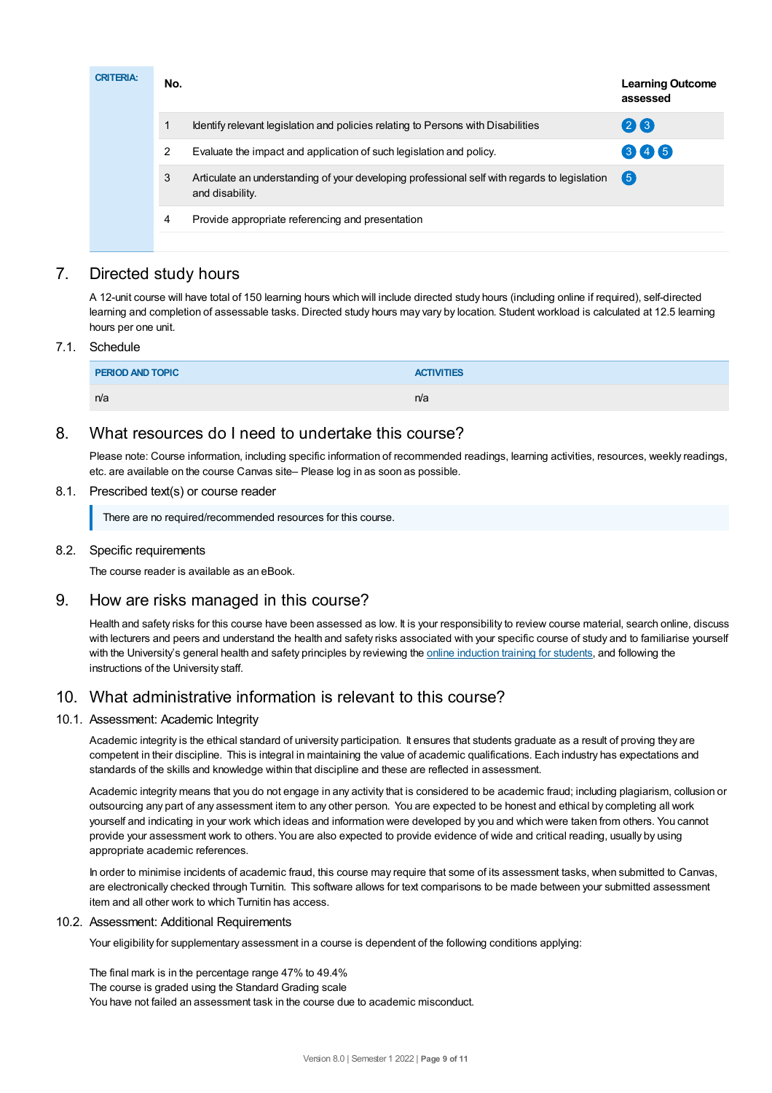| <b>CRITERIA:</b> | No. |                                                                                                                 | <b>Learning Outcome</b><br>assessed |
|------------------|-----|-----------------------------------------------------------------------------------------------------------------|-------------------------------------|
|                  |     | Identify relevant legislation and policies relating to Persons with Disabilities                                | 26                                  |
|                  | 2   | Evaluate the impact and application of such legislation and policy.                                             | 345                                 |
|                  | 3   | Articulate an understanding of your developing professional self with regards to legislation<br>and disability. | $\sqrt{5}$                          |
|                  | 4   | Provide appropriate referencing and presentation                                                                |                                     |
|                  |     |                                                                                                                 |                                     |

## 7. Directed study hours

A 12-unit course will have total of 150 learning hours which will include directed study hours (including online if required), self-directed learning and completion of assessable tasks. Directed study hours may vary by location. Student workload is calculated at 12.5 learning hours per one unit.

#### 7.1. Schedule

| PERIOD AND TOPIC | <b>ACTIVITIES</b> |
|------------------|-------------------|
| n/a              | n/a               |

## 8. What resources do I need to undertake this course?

Please note: Course information, including specific information of recommended readings, learning activities, resources, weekly readings, etc. are available on the course Canvas site– Please log in as soon as possible.

#### 8.1. Prescribed text(s) or course reader

There are no required/recommended resources for this course.

#### 8.2. Specific requirements

The course reader is available as an eBook.

## 9. How are risks managed in this course?

Health and safety risks for this course have been assessed as low. It is your responsibility to review course material, search online, discuss with lecturers and peers and understand the health and safety risks associated with your specific course of study and to familiarise yourself with the University's general health and safety principles by reviewing the online [induction](https://online.usc.edu.au/webapps/blackboard/content/listContentEditable.jsp?content_id=_632657_1&course_id=_14432_1) training for students, and following the instructions of the University staff.

## 10. What administrative information is relevant to this course?

#### 10.1. Assessment: Academic Integrity

Academic integrity is the ethical standard of university participation. It ensures that students graduate as a result of proving they are competent in their discipline. This is integral in maintaining the value of academic qualifications. Each industry has expectations and standards of the skills and knowledge within that discipline and these are reflected in assessment.

Academic integrity means that you do not engage in any activity that is considered to be academic fraud; including plagiarism, collusion or outsourcing any part of any assessment item to any other person. You are expected to be honest and ethical by completing all work yourself and indicating in your work which ideas and information were developed by you and which were taken from others. You cannot provide your assessment work to others.You are also expected to provide evidence of wide and critical reading, usually by using appropriate academic references.

In order to minimise incidents of academic fraud, this course may require that some of its assessment tasks, when submitted to Canvas, are electronically checked through Turnitin. This software allows for text comparisons to be made between your submitted assessment item and all other work to which Turnitin has access.

#### 10.2. Assessment: Additional Requirements

Your eligibility for supplementary assessment in a course is dependent of the following conditions applying:

The final mark is in the percentage range 47% to 49.4% The course is graded using the Standard Grading scale You have not failed an assessment task in the course due to academic misconduct.